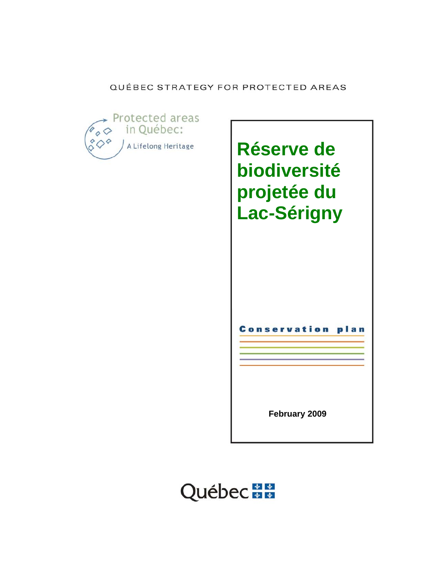## QUÉBEC STRATEGY FOR PROTECTED AREAS



**Réserve de biodiversité projetée du Lac-Sérigny** 

Conservation plan

**February 2009** 

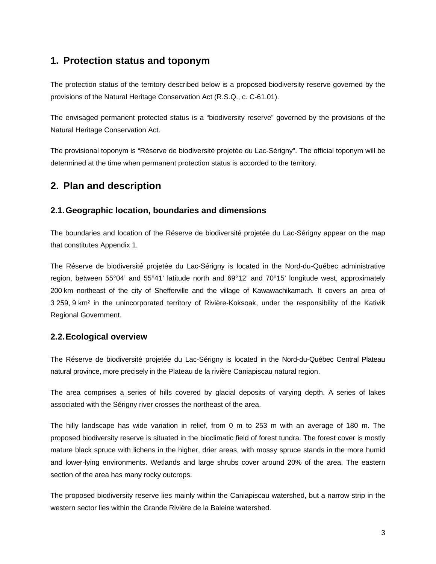## **1. Protection status and toponym**

The protection status of the territory described below is a proposed biodiversity reserve governed by the provisions of the Natural Heritage Conservation Act (R.S.Q., c. C-61.01).

The envisaged permanent protected status is a "biodiversity reserve" governed by the provisions of the Natural Heritage Conservation Act.

The provisional toponym is "Réserve de biodiversité projetée du Lac-Sérigny". The official toponym will be determined at the time when permanent protection status is accorded to the territory.

## **2. Plan and description**

## **2.1. Geographic location, boundaries and dimensions**

The boundaries and location of the Réserve de biodiversité projetée du Lac-Sérigny appear on the map that constitutes Appendix 1*.*

The Réserve de biodiversité projetée du Lac-Sérigny is located in the Nord-du-Québec administrative region, between 55°04' and 55°41' latitude north and 69°12' and 70°15' longitude west, approximately 200 km northeast of the city of Shefferville and the village of Kawawachikamach. It covers an area of 3 259, 9 km² in the unincorporated territory of Rivière-Koksoak, under the responsibility of the Kativik Regional Government.

## **2.2. Ecological overview**

The Réserve de biodiversité projetée du Lac-Sérigny is located in the Nord-du-Québec Central Plateau natural province, more precisely in the Plateau de la rivière Caniapiscau natural region.

The area comprises a series of hills covered by glacial deposits of varying depth. A series of lakes associated with the Sérigny river crosses the northeast of the area.

The hilly landscape has wide variation in relief, from 0 m to 253 m with an average of 180 m. The proposed biodiversity reserve is situated in the bioclimatic field of forest tundra. The forest cover is mostly mature black spruce with lichens in the higher, drier areas, with mossy spruce stands in the more humid and lower-lying environments. Wetlands and large shrubs cover around 20% of the area. The eastern section of the area has many rocky outcrops.

The proposed biodiversity reserve lies mainly within the Caniapiscau watershed, but a narrow strip in the western sector lies within the Grande Rivière de la Baleine watershed.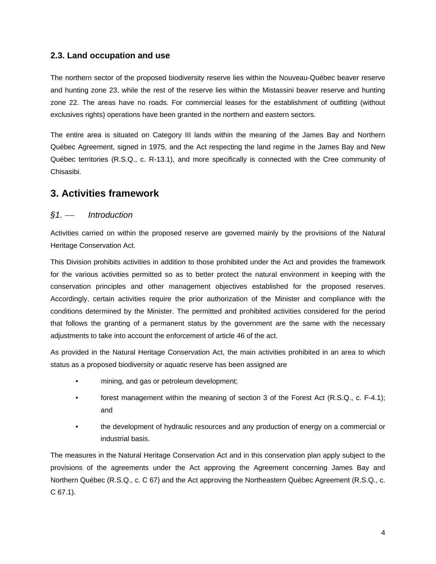### **2.3. Land occupation and use**

The northern sector of the proposed biodiversity reserve lies within the Nouveau-Québec beaver reserve and hunting zone 23, while the rest of the reserve lies within the Mistassini beaver reserve and hunting zone 22. The areas have no roads. For commercial leases for the establishment of outfitting (without exclusives rights) operations have been granted in the northern and eastern sectors.

The entire area is situated on Category III lands within the meaning of the James Bay and Northern Québec Agreement, signed in 1975, and the Act respecting the land regime in the James Bay and New Québec territories (R.S.Q., c. R-13.1), and more specifically is connected with the Cree community of Chisasibi.

## **3. Activities framework**

### *§1.* ⎯ *Introduction*

Activities carried on within the proposed reserve are governed mainly by the provisions of the Natural Heritage Conservation Act.

This Division prohibits activities in addition to those prohibited under the Act and provides the framework for the various activities permitted so as to better protect the natural environment in keeping with the conservation principles and other management objectives established for the proposed reserves. Accordingly, certain activities require the prior authorization of the Minister and compliance with the conditions determined by the Minister. The permitted and prohibited activities considered for the period that follows the granting of a permanent status by the government are the same with the necessary adjustments to take into account the enforcement of article 46 of the act.

As provided in the Natural Heritage Conservation Act, the main activities prohibited in an area to which status as a proposed biodiversity or aquatic reserve has been assigned are

- mining, and gas or petroleum development;
- forest management within the meaning of section 3 of the Forest Act (R.S.Q., c. F-4.1); and
- the development of hydraulic resources and any production of energy on a commercial or industrial basis.

The measures in the Natural Heritage Conservation Act and in this conservation plan apply subject to the provisions of the agreements under the Act approving the Agreement concerning James Bay and Northern Québec (R.S.Q., c. C 67) and the Act approving the Northeastern Québec Agreement (R.S.Q., c. C 67.1).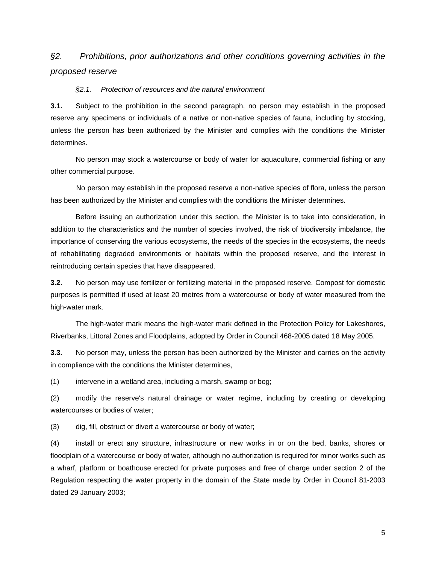## *§2.* ⎯ *Prohibitions, prior authorizations and other conditions governing activities in the proposed reserve*

#### *§2.1. Protection of resources and the natural environment*

**3.1.** Subject to the prohibition in the second paragraph, no person may establish in the proposed reserve any specimens or individuals of a native or non-native species of fauna, including by stocking, unless the person has been authorized by the Minister and complies with the conditions the Minister determines.

No person may stock a watercourse or body of water for aquaculture, commercial fishing or any other commercial purpose.

 No person may establish in the proposed reserve a non-native species of flora, unless the person has been authorized by the Minister and complies with the conditions the Minister determines.

Before issuing an authorization under this section, the Minister is to take into consideration, in addition to the characteristics and the number of species involved, the risk of biodiversity imbalance, the importance of conserving the various ecosystems, the needs of the species in the ecosystems, the needs of rehabilitating degraded environments or habitats within the proposed reserve, and the interest in reintroducing certain species that have disappeared.

**3.2.** No person may use fertilizer or fertilizing material in the proposed reserve. Compost for domestic purposes is permitted if used at least 20 metres from a watercourse or body of water measured from the high-water mark.

The high-water mark means the high-water mark defined in the Protection Policy for Lakeshores, Riverbanks, Littoral Zones and Floodplains, adopted by Order in Council 468-2005 dated 18 May 2005.

**3.3.** No person may, unless the person has been authorized by the Minister and carries on the activity in compliance with the conditions the Minister determines,

(1) intervene in a wetland area, including a marsh, swamp or bog;

(2) modify the reserve's natural drainage or water regime, including by creating or developing watercourses or bodies of water;

(3) dig, fill, obstruct or divert a watercourse or body of water;

(4) install or erect any structure, infrastructure or new works in or on the bed, banks, shores or floodplain of a watercourse or body of water, although no authorization is required for minor works such as a wharf, platform or boathouse erected for private purposes and free of charge under section 2 of the Regulation respecting the water property in the domain of the State made by Order in Council 81-2003 dated 29 January 2003;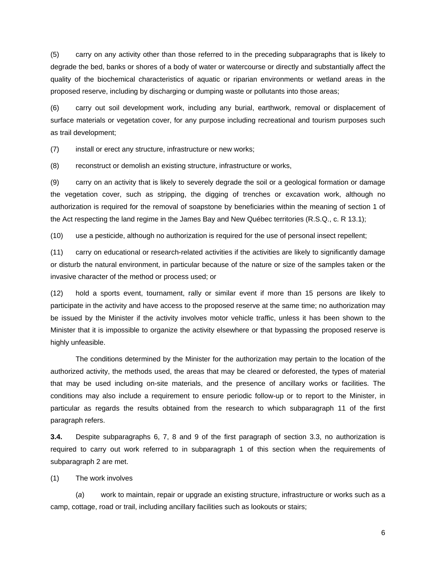(5) carry on any activity other than those referred to in the preceding subparagraphs that is likely to degrade the bed, banks or shores of a body of water or watercourse or directly and substantially affect the quality of the biochemical characteristics of aquatic or riparian environments or wetland areas in the proposed reserve, including by discharging or dumping waste or pollutants into those areas;

(6) carry out soil development work, including any burial, earthwork, removal or displacement of surface materials or vegetation cover, for any purpose including recreational and tourism purposes such as trail development;

(7) install or erect any structure, infrastructure or new works;

(8) reconstruct or demolish an existing structure, infrastructure or works,

(9) carry on an activity that is likely to severely degrade the soil or a geological formation or damage the vegetation cover, such as stripping, the digging of trenches or excavation work, although no authorization is required for the removal of soapstone by beneficiaries within the meaning of section 1 of the Act respecting the land regime in the James Bay and New Québec territories (R.S.Q., c. R 13.1);

(10) use a pesticide, although no authorization is required for the use of personal insect repellent;

(11) carry on educational or research-related activities if the activities are likely to significantly damage or disturb the natural environment, in particular because of the nature or size of the samples taken or the invasive character of the method or process used; or

(12) hold a sports event, tournament, rally or similar event if more than 15 persons are likely to participate in the activity and have access to the proposed reserve at the same time; no authorization may be issued by the Minister if the activity involves motor vehicle traffic, unless it has been shown to the Minister that it is impossible to organize the activity elsewhere or that bypassing the proposed reserve is highly unfeasible.

The conditions determined by the Minister for the authorization may pertain to the location of the authorized activity, the methods used, the areas that may be cleared or deforested, the types of material that may be used including on-site materials, and the presence of ancillary works or facilities. The conditions may also include a requirement to ensure periodic follow-up or to report to the Minister, in particular as regards the results obtained from the research to which subparagraph 11 of the first paragraph refers.

**3.4.** Despite subparagraphs 6, 7, 8 and 9 of the first paragraph of section 3.3, no authorization is required to carry out work referred to in subparagraph 1 of this section when the requirements of subparagraph 2 are met.

(1) The work involves

(*a*) work to maintain, repair or upgrade an existing structure, infrastructure or works such as a camp, cottage, road or trail, including ancillary facilities such as lookouts or stairs;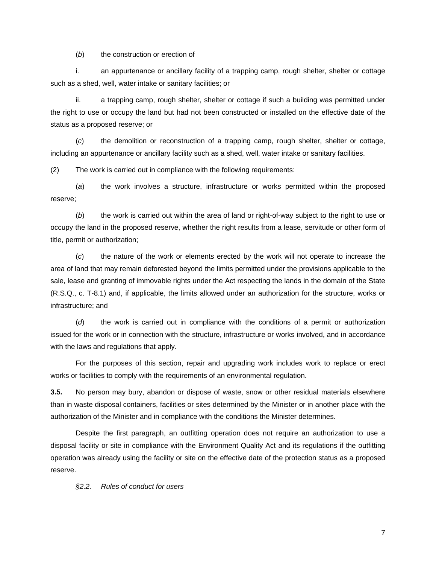(*b*) the construction or erection of

i. an appurtenance or ancillary facility of a trapping camp, rough shelter, shelter or cottage such as a shed, well, water intake or sanitary facilities; or

ii. a trapping camp, rough shelter, shelter or cottage if such a building was permitted under the right to use or occupy the land but had not been constructed or installed on the effective date of the status as a proposed reserve; or

(*c*) the demolition or reconstruction of a trapping camp, rough shelter, shelter or cottage, including an appurtenance or ancillary facility such as a shed, well, water intake or sanitary facilities.

(2) The work is carried out in compliance with the following requirements:

(*a*) the work involves a structure, infrastructure or works permitted within the proposed reserve;

(*b*) the work is carried out within the area of land or right-of-way subject to the right to use or occupy the land in the proposed reserve, whether the right results from a lease, servitude or other form of title, permit or authorization;

(*c*) the nature of the work or elements erected by the work will not operate to increase the area of land that may remain deforested beyond the limits permitted under the provisions applicable to the sale, lease and granting of immovable rights under the Act respecting the lands in the domain of the State (R.S.Q., c. T-8.1) and, if applicable, the limits allowed under an authorization for the structure, works or infrastructure; and

(*d*) the work is carried out in compliance with the conditions of a permit or authorization issued for the work or in connection with the structure, infrastructure or works involved, and in accordance with the laws and regulations that apply.

For the purposes of this section, repair and upgrading work includes work to replace or erect works or facilities to comply with the requirements of an environmental regulation.

**3.5.** No person may bury, abandon or dispose of waste, snow or other residual materials elsewhere than in waste disposal containers, facilities or sites determined by the Minister or in another place with the authorization of the Minister and in compliance with the conditions the Minister determines.

Despite the first paragraph, an outfitting operation does not require an authorization to use a disposal facility or site in compliance with the Environment Quality Act and its regulations if the outfitting operation was already using the facility or site on the effective date of the protection status as a proposed reserve.

*§2.2. Rules of conduct for users* 

7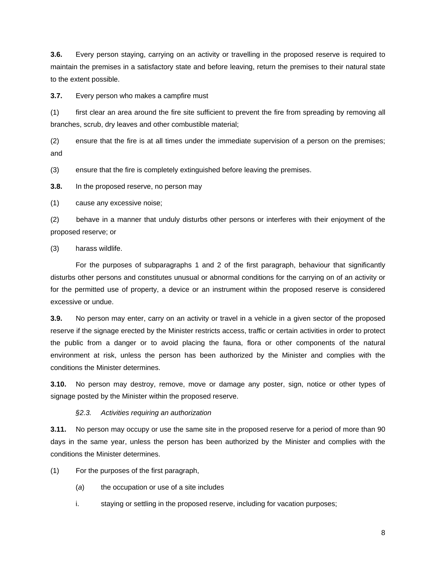**3.6.** Every person staying, carrying on an activity or travelling in the proposed reserve is required to maintain the premises in a satisfactory state and before leaving, return the premises to their natural state to the extent possible.

**3.7.** Every person who makes a campfire must

(1) first clear an area around the fire site sufficient to prevent the fire from spreading by removing all branches, scrub, dry leaves and other combustible material;

(2) ensure that the fire is at all times under the immediate supervision of a person on the premises; and

(3) ensure that the fire is completely extinguished before leaving the premises.

**3.8.** In the proposed reserve, no person may

(1) cause any excessive noise;

(2) behave in a manner that unduly disturbs other persons or interferes with their enjoyment of the proposed reserve; or

(3) harass wildlife.

For the purposes of subparagraphs 1 and 2 of the first paragraph, behaviour that significantly disturbs other persons and constitutes unusual or abnormal conditions for the carrying on of an activity or for the permitted use of property, a device or an instrument within the proposed reserve is considered excessive or undue.

**3.9.** No person may enter, carry on an activity or travel in a vehicle in a given sector of the proposed reserve if the signage erected by the Minister restricts access, traffic or certain activities in order to protect the public from a danger or to avoid placing the fauna, flora or other components of the natural environment at risk, unless the person has been authorized by the Minister and complies with the conditions the Minister determines.

**3.10.** No person may destroy, remove, move or damage any poster, sign, notice or other types of signage posted by the Minister within the proposed reserve.

#### *§2.3. Activities requiring an authorization*

**3.11.** No person may occupy or use the same site in the proposed reserve for a period of more than 90 days in the same year, unless the person has been authorized by the Minister and complies with the conditions the Minister determines.

(1) For the purposes of the first paragraph,

- (*a*) the occupation or use of a site includes
- i. staying or settling in the proposed reserve, including for vacation purposes;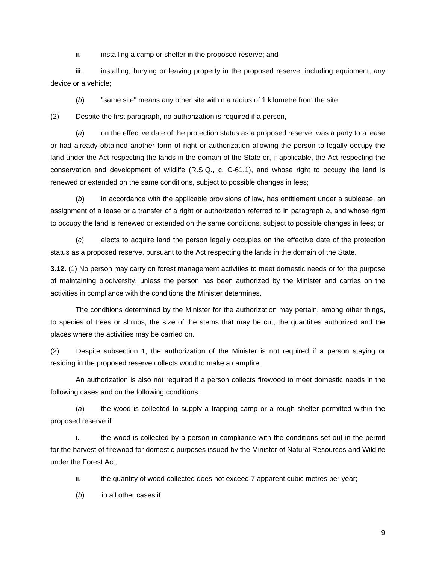ii. installing a camp or shelter in the proposed reserve; and

iii. installing, burying or leaving property in the proposed reserve, including equipment, any device or a vehicle;

(*b*) "same site" means any other site within a radius of 1 kilometre from the site.

(2) Despite the first paragraph, no authorization is required if a person,

(*a*) on the effective date of the protection status as a proposed reserve, was a party to a lease or had already obtained another form of right or authorization allowing the person to legally occupy the land under the Act respecting the lands in the domain of the State or, if applicable, the Act respecting the conservation and development of wildlife (R.S.Q., c. C-61.1), and whose right to occupy the land is renewed or extended on the same conditions, subject to possible changes in fees;

(*b*) in accordance with the applicable provisions of law, has entitlement under a sublease, an assignment of a lease or a transfer of a right or authorization referred to in paragraph *a*, and whose right to occupy the land is renewed or extended on the same conditions, subject to possible changes in fees; or

(*c*) elects to acquire land the person legally occupies on the effective date of the protection status as a proposed reserve, pursuant to the Act respecting the lands in the domain of the State.

**3.12.** (1) No person may carry on forest management activities to meet domestic needs or for the purpose of maintaining biodiversity, unless the person has been authorized by the Minister and carries on the activities in compliance with the conditions the Minister determines.

The conditions determined by the Minister for the authorization may pertain, among other things, to species of trees or shrubs, the size of the stems that may be cut, the quantities authorized and the places where the activities may be carried on.

(2) Despite subsection 1, the authorization of the Minister is not required if a person staying or residing in the proposed reserve collects wood to make a campfire.

 An authorization is also not required if a person collects firewood to meet domestic needs in the following cases and on the following conditions:

(*a*) the wood is collected to supply a trapping camp or a rough shelter permitted within the proposed reserve if

i. the wood is collected by a person in compliance with the conditions set out in the permit for the harvest of firewood for domestic purposes issued by the Minister of Natural Resources and Wildlife under the Forest Act;

ii. the quantity of wood collected does not exceed 7 apparent cubic metres per year;

(*b*) in all other cases if

9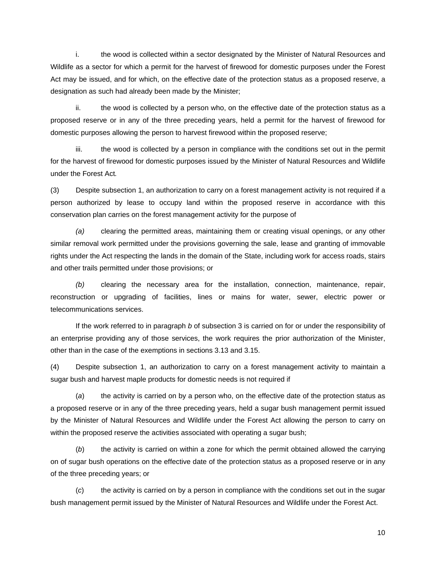i. the wood is collected within a sector designated by the Minister of Natural Resources and Wildlife as a sector for which a permit for the harvest of firewood for domestic purposes under the Forest Act may be issued, and for which, on the effective date of the protection status as a proposed reserve, a designation as such had already been made by the Minister;

ii. the wood is collected by a person who, on the effective date of the protection status as a proposed reserve or in any of the three preceding years, held a permit for the harvest of firewood for domestic purposes allowing the person to harvest firewood within the proposed reserve;

 iii. the wood is collected by a person in compliance with the conditions set out in the permit for the harvest of firewood for domestic purposes issued by the Minister of Natural Resources and Wildlife under the Forest Act*.* 

(3) Despite subsection 1, an authorization to carry on a forest management activity is not required if a person authorized by lease to occupy land within the proposed reserve in accordance with this conservation plan carries on the forest management activity for the purpose of

*(a)* clearing the permitted areas, maintaining them or creating visual openings, or any other similar removal work permitted under the provisions governing the sale, lease and granting of immovable rights under the Act respecting the lands in the domain of the State, including work for access roads, stairs and other trails permitted under those provisions; or

*(b)* clearing the necessary area for the installation, connection, maintenance, repair, reconstruction or upgrading of facilities, lines or mains for water, sewer, electric power or telecommunications services.

If the work referred to in paragraph *b* of subsection 3 is carried on for or under the responsibility of an enterprise providing any of those services, the work requires the prior authorization of the Minister, other than in the case of the exemptions in sections 3.13 and 3.15.

(4) Despite subsection 1, an authorization to carry on a forest management activity to maintain a sugar bush and harvest maple products for domestic needs is not required if

(*a*) the activity is carried on by a person who, on the effective date of the protection status as a proposed reserve or in any of the three preceding years, held a sugar bush management permit issued by the Minister of Natural Resources and Wildlife under the Forest Act allowing the person to carry on within the proposed reserve the activities associated with operating a sugar bush;

(*b*) the activity is carried on within a zone for which the permit obtained allowed the carrying on of sugar bush operations on the effective date of the protection status as a proposed reserve or in any of the three preceding years; or

(*c*) the activity is carried on by a person in compliance with the conditions set out in the sugar bush management permit issued by the Minister of Natural Resources and Wildlife under the Forest Act.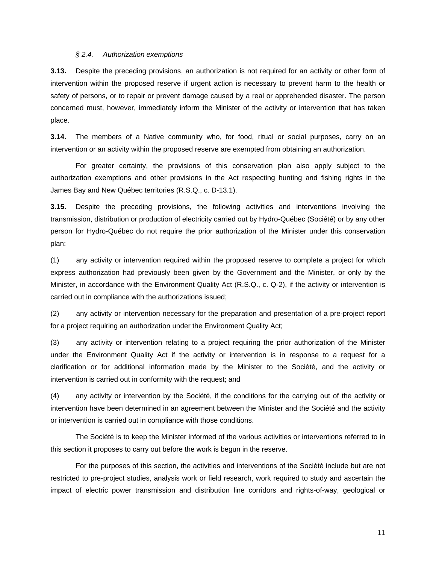#### *§ 2.4. Authorization exemptions*

**3.13.** Despite the preceding provisions, an authorization is not required for an activity or other form of intervention within the proposed reserve if urgent action is necessary to prevent harm to the health or safety of persons, or to repair or prevent damage caused by a real or apprehended disaster. The person concerned must, however, immediately inform the Minister of the activity or intervention that has taken place.

**3.14.** The members of a Native community who, for food, ritual or social purposes, carry on an intervention or an activity within the proposed reserve are exempted from obtaining an authorization.

For greater certainty, the provisions of this conservation plan also apply subject to the authorization exemptions and other provisions in the Act respecting hunting and fishing rights in the James Bay and New Québec territories (R.S.Q., c. D-13.1).

**3.15.** Despite the preceding provisions, the following activities and interventions involving the transmission, distribution or production of electricity carried out by Hydro-Québec (Société) or by any other person for Hydro-Québec do not require the prior authorization of the Minister under this conservation plan:

(1) any activity or intervention required within the proposed reserve to complete a project for which express authorization had previously been given by the Government and the Minister, or only by the Minister, in accordance with the Environment Quality Act (R.S.Q., c. Q-2), if the activity or intervention is carried out in compliance with the authorizations issued;

(2) any activity or intervention necessary for the preparation and presentation of a pre-project report for a project requiring an authorization under the Environment Quality Act;

(3) any activity or intervention relating to a project requiring the prior authorization of the Minister under the Environment Quality Act if the activity or intervention is in response to a request for a clarification or for additional information made by the Minister to the Société, and the activity or intervention is carried out in conformity with the request; and

(4) any activity or intervention by the Société, if the conditions for the carrying out of the activity or intervention have been determined in an agreement between the Minister and the Société and the activity or intervention is carried out in compliance with those conditions.

The Société is to keep the Minister informed of the various activities or interventions referred to in this section it proposes to carry out before the work is begun in the reserve.

For the purposes of this section, the activities and interventions of the Société include but are not restricted to pre-project studies, analysis work or field research, work required to study and ascertain the impact of electric power transmission and distribution line corridors and rights-of-way, geological or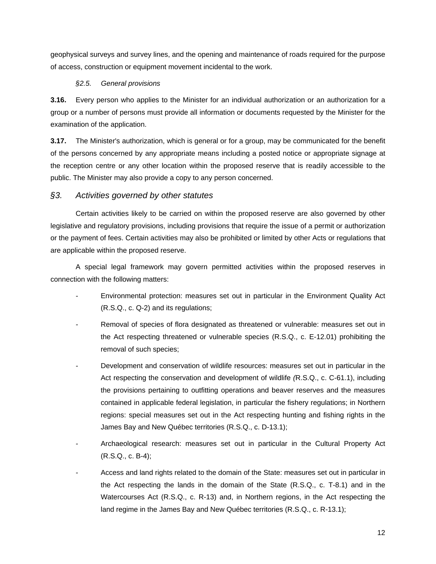geophysical surveys and survey lines, and the opening and maintenance of roads required for the purpose of access, construction or equipment movement incidental to the work.

#### *§2.5. General provisions*

**3.16.** Every person who applies to the Minister for an individual authorization or an authorization for a group or a number of persons must provide all information or documents requested by the Minister for the examination of the application.

**3.17.** The Minister's authorization, which is general or for a group, may be communicated for the benefit of the persons concerned by any appropriate means including a posted notice or appropriate signage at the reception centre or any other location within the proposed reserve that is readily accessible to the public. The Minister may also provide a copy to any person concerned.

### *§3. Activities governed by other statutes*

Certain activities likely to be carried on within the proposed reserve are also governed by other legislative and regulatory provisions, including provisions that require the issue of a permit or authorization or the payment of fees. Certain activities may also be prohibited or limited by other Acts or regulations that are applicable within the proposed reserve.

A special legal framework may govern permitted activities within the proposed reserves in connection with the following matters:

- Environmental protection: measures set out in particular in the Environment Quality Act (R.S.Q., c. Q-2) and its regulations;
- *-* Removal of species of flora designated as threatened or vulnerable: measures set out in the Act respecting threatened or vulnerable species (R.S.Q., c. E-12.01) prohibiting the removal of such species;
- *-* Development and conservation of wildlife resources: measures set out in particular in the Act respecting the conservation and development of wildlife *(*R.S.Q., c. C-61.1), including the provisions pertaining to outfitting operations and beaver reserves and the measures contained in applicable federal legislation, in particular the fishery regulations; in Northern regions: special measures set out in the Act respecting hunting and fishing rights in the James Bay and New Québec territories (R.S.Q., c. D-13.1);
- Archaeological research: measures set out in particular in the Cultural Property Act (R.S.Q., c. B-4);
- *-* Access and land rights related to the domain of the State: measures set out in particular in the Act respecting the lands in the domain of the State (R.S.Q., c. T-8.1) and in the Watercourses Act (R.S.Q., c. R-13) and, in Northern regions, in the Act respecting the land regime in the James Bay and New Québec territories (R.S.Q., c. R-13.1);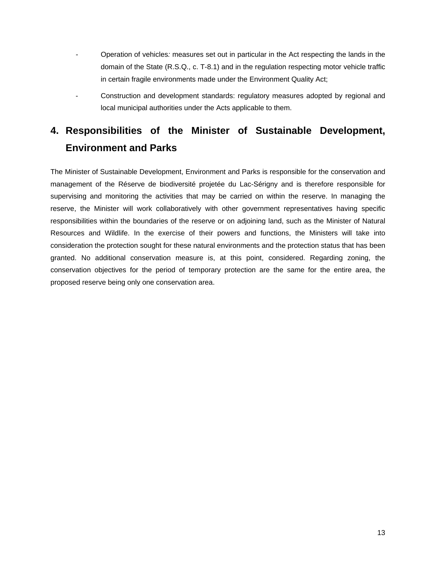- Operation of vehicles*:* measures set out in particular in the Act respecting the lands in the domain of the State (R.S.Q., c. T-8.1) and in the regulation respecting motor vehicle traffic in certain fragile environments made under the Environment Quality Act;
- Construction and development standards: regulatory measures adopted by regional and local municipal authorities under the Acts applicable to them.

# **4. Responsibilities of the Minister of Sustainable Development, Environment and Parks**

The Minister of Sustainable Development, Environment and Parks is responsible for the conservation and management of the Réserve de biodiversité projetée du Lac-Sérigny and is therefore responsible for supervising and monitoring the activities that may be carried on within the reserve. In managing the reserve, the Minister will work collaboratively with other government representatives having specific responsibilities within the boundaries of the reserve or on adjoining land, such as the Minister of Natural Resources and Wildlife. In the exercise of their powers and functions, the Ministers will take into consideration the protection sought for these natural environments and the protection status that has been granted. No additional conservation measure is, at this point, considered. Regarding zoning, the conservation objectives for the period of temporary protection are the same for the entire area, the proposed reserve being only one conservation area.